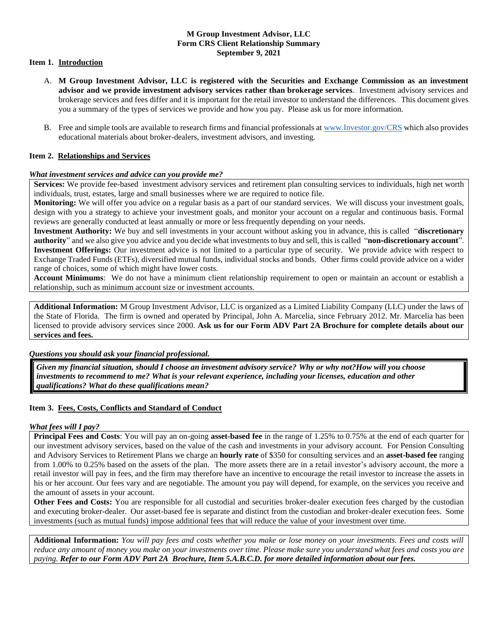## **M Group Investment Advisor, LLC Form CRS Client Relationship Summary September 9, 2021**

## **Item 1. Introduction**

- A. **M Group Investment Advisor, LLC is registered with the Securities and Exchange Commission as an investment advisor and we provide investment advisory services rather than brokerage services**. Investment advisory services and brokerage services and fees differ and it is important for the retail investor to understand the differences. This document gives you a summary of the types of services we provide and how you pay. Please ask us for more information.
- B. Free and simple tools are available to research firms and financial professionals at [www.Investor.gov/CRS](http://www.investor.gov/CRS) which also provides educational materials about broker-dealers, investment advisors, and investing.

### **Item 2. Relationships and Services**

#### *What investment services and advice can you provide me?*

**Services:** We provide fee-based investment advisory services and retirement plan consulting services to individuals, high net worth individuals, trust, estates, large and small businesses where we are required to notice file.

**Monitoring:** We will offer you advice on a regular basis as a part of our standard services. We will discuss your investment goals, design with you a strategy to achieve your investment goals, and monitor your account on a regular and continuous basis. Formal reviews are generally conducted at least annually or more or less frequently depending on your needs.

**Investment Authority:** We buy and sell investments in your account without asking you in advance, this is called "**discretionary authority**" and we also give you advice and you decide what investments to buy and sell, this is called "**non**‐**discretionary account**". **Investment Offerings:** Our investment advice is not limited to a particular type of security. We provide advice with respect to Exchange Traded Funds (ETFs), diversified mutual funds, individual stocks and bonds. Other firms could provide advice on a wider range of choices, some of which might have lower costs.

**Account Minimums**: We do not have a minimum client relationship requirement to open or maintain an account or establish a relationship, such as minimum account size or investment accounts.

**Additional Information:** M Group Investment Advisor, LLC is organized as a Limited Liability Company (LLC) under the laws of the State of Florida. The firm is owned and operated by Principal, John A. Marcelia, since February 2012. Mr. Marcelia has been licensed to provide advisory services since 2000. **Ask us for our Form ADV Part 2A Brochure for complete details about our services and fees.**

*Questions you should ask your financial professional.*

*Given my financial situation, should I choose an investment advisory service? Why or why not?How will you choose investments to recommend to me? What is your relevant experience, including your licenses, education and other qualifications? What do these qualifications mean?*

## **Item 3. Fees, Costs, Conflicts and Standard of Conduct**

#### *What fees will I pay?*

**Principal Fees and Costs**: You will pay an on-going **asset-based fee** in the range of 1.25% to 0.75% at the end of each quarter for our investment advisory services, based on the value of the cash and investments in your advisory account. For Pension Consulting and Advisory Services to Retirement Plans we charge an **hourly rate** of \$350 for consulting services and an **asset-based fee** ranging from 1.00% to 0.25% based on the assets of the plan. The more assets there are in a retail investor's advisory account, the more a retail investor will pay in fees, and the firm may therefore have an incentive to encourage the retail investor to increase the assets in his or her account. Our fees vary and are negotiable. The amount you pay will depend, for example, on the services you receive and the amount of assets in your account.

**Other Fees and Costs:** You are responsible for all custodial and securities broker-dealer execution fees charged by the custodian and executing broker-dealer. Our asset-based fee is separate and distinct from the custodian and broker-dealer execution fees. Some investments (such as mutual funds) impose additional fees that will reduce the value of your investment over time.

**Additional Information:** *You will pay fees and costs whether you make or lose money on your investments. Fees and costs will reduce any amount of money you make on your investments over time. Please make sure you understand what fees and costs you are paying. Refer to our Form ADV Part 2A Brochure, Item 5.A.B.C.D. for more detailed information about our fees.*